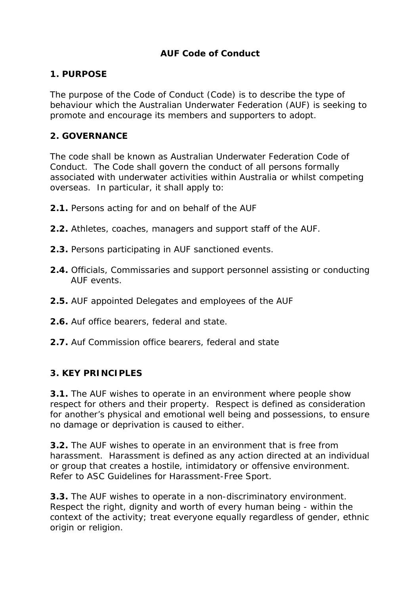### **AUF Code of Conduct**

### **1. PURPOSE**

The purpose of the Code of Conduct (Code) is to describe the type of behaviour which the Australian Underwater Federation (AUF) is seeking to promote and encourage its members and supporters to adopt.

#### **2. GOVERNANCE**

The code shall be known as Australian Underwater Federation Code of Conduct. The Code shall govern the conduct of all persons formally associated with underwater activities within Australia or whilst competing overseas. In particular, it shall apply to:

- **2.1.** Persons acting for and on behalf of the AUF
- **2.2.** Athletes, coaches, managers and support staff of the AUF.
- **2.3.** Persons participating in AUF sanctioned events.
- **2.4.** Officials, Commissaries and support personnel assisting or conducting AUF events.
- **2.5.** AUF appointed Delegates and employees of the AUF
- **2.6.** Auf office bearers, federal and state.
- **2.7.** Auf Commission office bearers, federal and state

### **3. KEY PRINCIPLES**

**3.1.** The AUF wishes to operate in an environment where people show respect for others and their property. Respect is defined as consideration for another's physical and emotional well being and possessions, to ensure no damage or deprivation is caused to either.

**3.2.** The AUF wishes to operate in an environment that is free from harassment. Harassment is defined as any action directed at an individual or group that creates a hostile, intimidatory or offensive environment. Refer to ASC Guidelines for Harassment-Free Sport.

**3.3.** The AUF wishes to operate in a non-discriminatory environment. Respect the right, dignity and worth of every human being - within the context of the activity; treat everyone equally regardless of gender, ethnic origin or religion.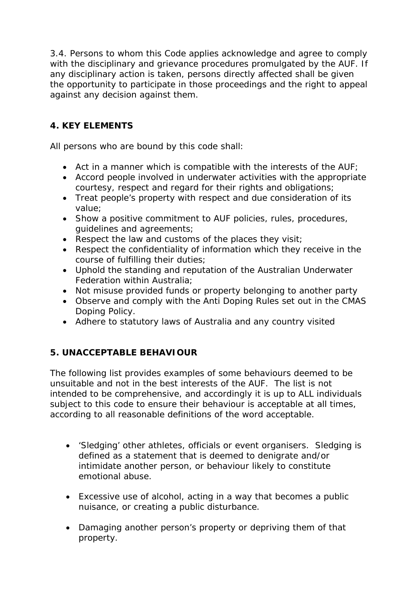3.4. Persons to whom this Code applies acknowledge and agree to comply with the disciplinary and grievance procedures promulgated by the AUF. If any disciplinary action is taken, persons directly affected shall be given the opportunity to participate in those proceedings and the right to appeal against any decision against them.

# **4. KEY ELEMENTS**

All persons who are bound by this code shall:

- Act in a manner which is compatible with the interests of the AUF;
- Accord people involved in underwater activities with the appropriate courtesy, respect and regard for their rights and obligations;
- Treat people's property with respect and due consideration of its value;
- Show a positive commitment to AUF policies, rules, procedures, guidelines and agreements;
- Respect the law and customs of the places they visit;
- Respect the confidentiality of information which they receive in the course of fulfilling their duties;
- Uphold the standing and reputation of the Australian Underwater Federation within Australia;
- Not misuse provided funds or property belonging to another party
- Observe and comply with the Anti Doping Rules set out in the CMAS Doping Policy.
- Adhere to statutory laws of Australia and any country visited

## **5. UNACCEPTABLE BEHAVIOUR**

The following list provides examples of some behaviours deemed to be unsuitable and not in the best interests of the AUF. The list is not intended to be comprehensive, and accordingly it is up to ALL individuals subject to this code to ensure their behaviour is acceptable at all times, according to all reasonable definitions of the word acceptable.

- 'Sledging' other athletes, officials or event organisers. Sledging is defined as a statement that is deemed to denigrate and/or intimidate another person, or behaviour likely to constitute emotional abuse.
- Excessive use of alcohol, acting in a way that becomes a public nuisance, or creating a public disturbance.
- Damaging another person's property or depriving them of that property.